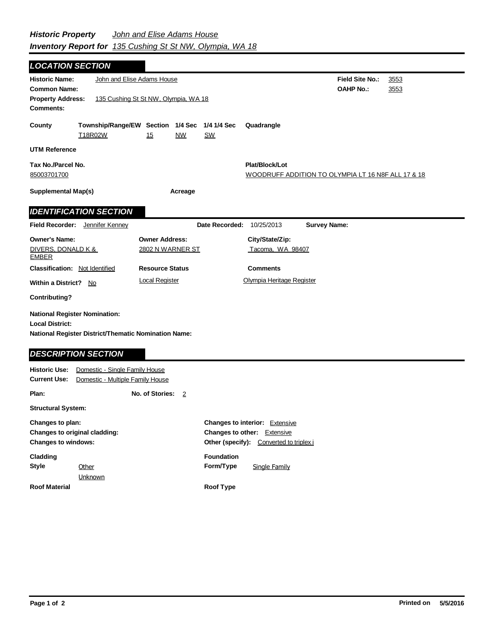## *Historic Property John and Elise Adams House Inventory Report for 135 Cushing St St NW, Olympia, WA 18*

| <b>LOCATION SECTION</b>                                                                                                |                                                                    |                        |                |                                                                                                                        |                           |                                                    |  |  |
|------------------------------------------------------------------------------------------------------------------------|--------------------------------------------------------------------|------------------------|----------------|------------------------------------------------------------------------------------------------------------------------|---------------------------|----------------------------------------------------|--|--|
| <b>Historic Name:</b><br><b>Common Name:</b><br><b>Property Address:</b><br><b>Comments:</b>                           | John and Elise Adams House<br>135 Cushing St St NW, Olympia, WA 18 |                        |                | <b>Field Site No.:</b><br><b>OAHP No.:</b>                                                                             | 3553<br>3553              |                                                    |  |  |
| County                                                                                                                 | Township/Range/EW Section 1/4 Sec<br>T18R02W                       | 15                     | <b>NW</b>      | 1/4 1/4 Sec<br><u>SW</u>                                                                                               | Quadrangle                |                                                    |  |  |
| <b>UTM Reference</b>                                                                                                   |                                                                    |                        |                |                                                                                                                        |                           |                                                    |  |  |
| Tax No./Parcel No.<br>85003701700                                                                                      |                                                                    |                        |                |                                                                                                                        | Plat/Block/Lot            | WOODRUFF ADDITION TO OLYMPIA LT 16 N8F ALL 17 & 18 |  |  |
| <b>Supplemental Map(s)</b><br>Acreage                                                                                  |                                                                    |                        |                |                                                                                                                        |                           |                                                    |  |  |
|                                                                                                                        | <b>IDENTIFICATION SECTION</b>                                      |                        |                |                                                                                                                        |                           |                                                    |  |  |
| <b>Field Recorder:</b>                                                                                                 | Jennifer Kenney                                                    |                        |                | Date Recorded:                                                                                                         | 10/25/2013                | <b>Survey Name:</b>                                |  |  |
| <b>Owner's Name:</b>                                                                                                   |                                                                    | <b>Owner Address:</b>  |                |                                                                                                                        | City/State/Zip:           |                                                    |  |  |
| DIVERS, DONALD K &<br><b>EMBER</b>                                                                                     |                                                                    | 2802 N WARNER ST       |                |                                                                                                                        | Tacoma, WA 98407          |                                                    |  |  |
| <b>Classification: Not Identified</b>                                                                                  |                                                                    | <b>Resource Status</b> |                |                                                                                                                        | <b>Comments</b>           |                                                    |  |  |
| Within a District? No                                                                                                  |                                                                    | <b>Local Register</b>  |                |                                                                                                                        | Olympia Heritage Register |                                                    |  |  |
| <b>Contributing?</b>                                                                                                   |                                                                    |                        |                |                                                                                                                        |                           |                                                    |  |  |
| <b>National Register Nomination:</b><br><b>Local District:</b><br>National Register District/Thematic Nomination Name: |                                                                    |                        |                |                                                                                                                        |                           |                                                    |  |  |
| <b>DESCRIPTION SECTION</b>                                                                                             |                                                                    |                        |                |                                                                                                                        |                           |                                                    |  |  |
| Domestic - Single Family House<br><b>Historic Use:</b><br><b>Current Use:</b><br>Domestic - Multiple Family House      |                                                                    |                        |                |                                                                                                                        |                           |                                                    |  |  |
| Plan:                                                                                                                  |                                                                    | No. of Stories:        | $\overline{2}$ |                                                                                                                        |                           |                                                    |  |  |
| <b>Structural System:</b>                                                                                              |                                                                    |                        |                |                                                                                                                        |                           |                                                    |  |  |
| Changes to plan:<br>Changes to original cladding:<br><b>Changes to windows:</b>                                        |                                                                    |                        |                | <b>Changes to interior: Extensive</b><br><b>Changes to other:</b> Extensive<br>Other (specify): Converted to triplex i |                           |                                                    |  |  |
| Cladding<br><b>Style</b>                                                                                               | Other<br>Unknown                                                   |                        |                | <b>Foundation</b><br>Form/Type                                                                                         | <b>Single Family</b>      |                                                    |  |  |
| <b>Roof Material</b>                                                                                                   |                                                                    |                        |                | <b>Roof Type</b>                                                                                                       |                           |                                                    |  |  |